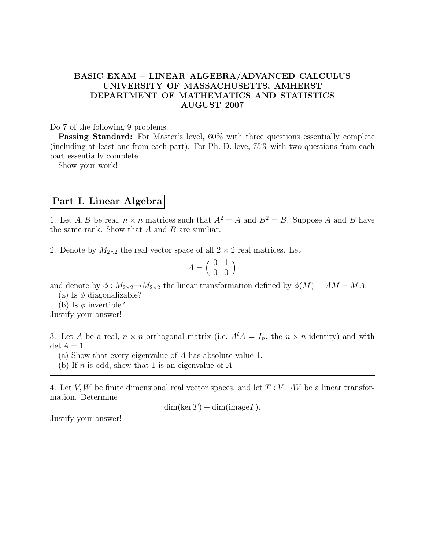## BASIC EXAM – LINEAR ALGEBRA/ADVANCED CALCULUS UNIVERSITY OF MASSACHUSETTS, AMHERST DEPARTMENT OF MATHEMATICS AND STATISTICS AUGUST 2007

## Do 7 of the following 9 problems.

Passing Standard: For Master's level, 60% with three questions essentially complete (including at least one from each part). For Ph. D. leve, 75% with two questions from each part essentially complete.

Show your work!

## Part I. Linear Algebra

1. Let A, B be real,  $n \times n$  matrices such that  $A^2 = A$  and  $B^2 = B$ . Suppose A and B have the same rank. Show that  $A$  and  $B$  are similiar.

2. Denote by  $M_{2\times 2}$  the real vector space of all  $2 \times 2$  real matrices. Let

$$
A = \left(\begin{array}{cc} 0 & 1 \\ 0 & 0 \end{array}\right)
$$

and denote by  $\phi : M_{2\times 2} \to M_{2\times 2}$  the linear transformation defined by  $\phi(M) = AM - MA$ .

(a) Is  $\phi$  diagonalizable?

(b) Is  $\phi$  invertible?

Justify your answer!

3. Let A be a real,  $n \times n$  orthogonal matrix (i.e.  $A^t A = I_n$ , the  $n \times n$  identity) and with  $\det A = 1.$ 

(a) Show that every eigenvalue of A has absolute value 1.

(b) If n is odd, show that 1 is an eigenvalue of  $A$ .

4. Let V, W be finite dimensional real vector spaces, and let  $T: V \rightarrow W$  be a linear transformation. Determine

 $dim(ker T) + dim(imageT).$ 

Justify your answer!